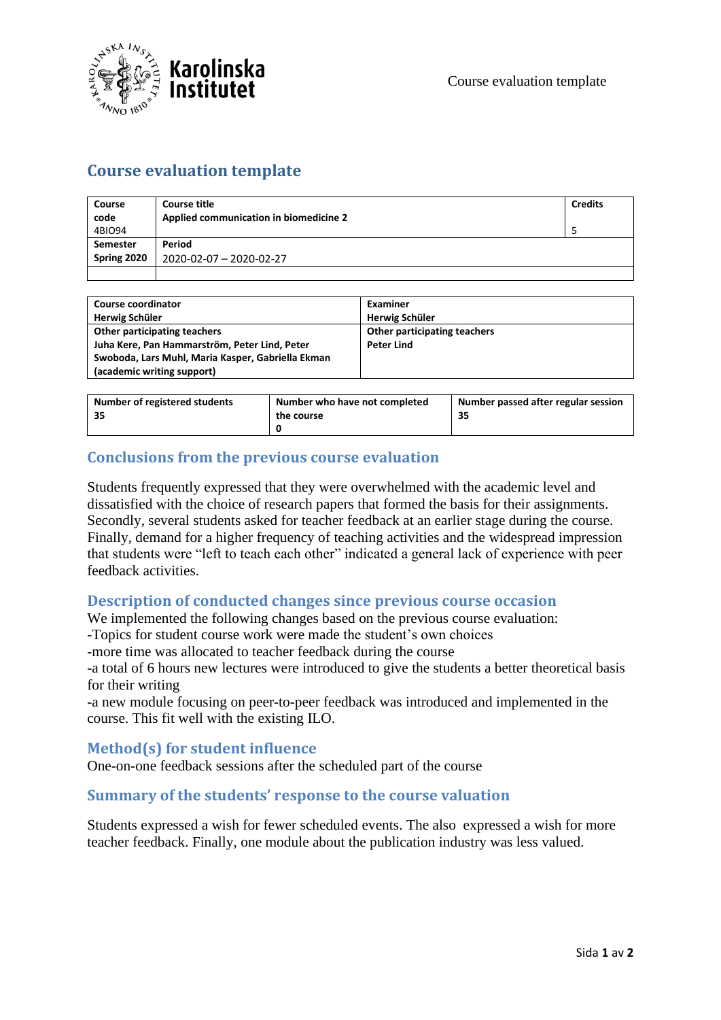

## **Course evaluation template**

| Course      | Course title                           | <b>Credits</b> |
|-------------|----------------------------------------|----------------|
| code        | Applied communication in biomedicine 2 |                |
| 4BIO94      |                                        |                |
| Semester    | Period                                 |                |
| Spring 2020 | 2020-02-07 - 2020-02-27                |                |
|             |                                        |                |

| Course coordinator                                | Examiner                     |
|---------------------------------------------------|------------------------------|
| Herwig Schüler                                    | Herwig Schüler               |
| Other participating teachers                      | Other participating teachers |
| Juha Kere, Pan Hammarström, Peter Lind, Peter     | <b>Peter Lind</b>            |
| Swoboda, Lars Muhl, Maria Kasper, Gabriella Ekman |                              |
| (academic writing support)                        |                              |

| Number of registered students<br>35 | Number who have not completed<br>the course | Number passed after regular session |
|-------------------------------------|---------------------------------------------|-------------------------------------|
|                                     |                                             |                                     |

## **Conclusions from the previous course evaluation**

Students frequently expressed that they were overwhelmed with the academic level and dissatisfied with the choice of research papers that formed the basis for their assignments. Secondly, several students asked for teacher feedback at an earlier stage during the course. Finally, demand for a higher frequency of teaching activities and the widespread impression that students were "left to teach each other" indicated a general lack of experience with peer feedback activities.

## **Description of conducted changes since previous course occasion**

We implemented the following changes based on the previous course evaluation:

-Topics for student course work were made the student's own choices

-more time was allocated to teacher feedback during the course

-a total of 6 hours new lectures were introduced to give the students a better theoretical basis for their writing

-a new module focusing on peer-to-peer feedback was introduced and implemented in the course. This fit well with the existing ILO.

## **Method(s) for student influence**

One-on-one feedback sessions after the scheduled part of the course

## **Summary of the students' response to the course valuation**

Students expressed a wish for fewer scheduled events. The also expressed a wish for more teacher feedback. Finally, one module about the publication industry was less valued.